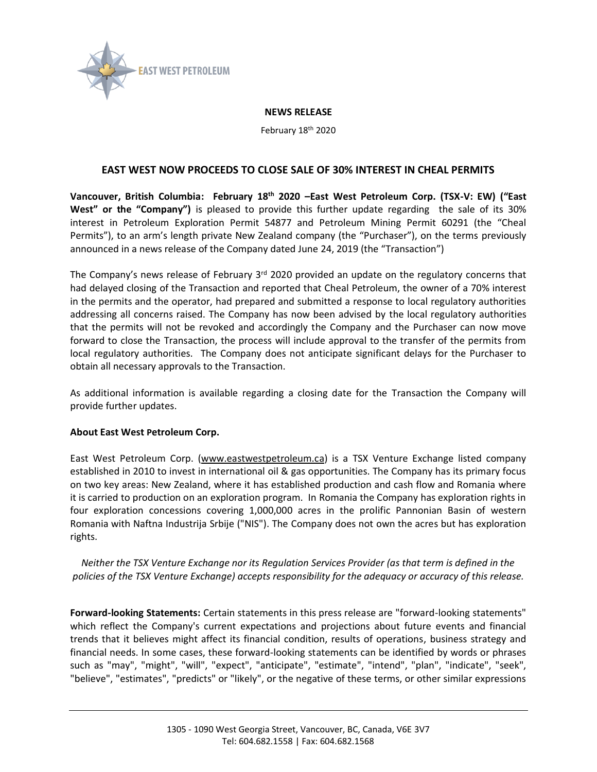

## **NEWS RELEASE**

February 18th 2020

## **EAST WEST NOW PROCEEDS TO CLOSE SALE OF 30% INTEREST IN CHEAL PERMITS**

**Vancouver, British Columbia: February 18th 2020 –East West Petroleum Corp. (TSX-V: EW) ("East West" or the "Company")** is pleased to provide this further update regarding the sale of its 30% interest in Petroleum Exploration Permit 54877 and Petroleum Mining Permit 60291 (the "Cheal Permits"), to an arm's length private New Zealand company (the "Purchaser"), on the terms previously announced in a news release of the Company dated June 24, 2019 (the "Transaction")

The Company's news release of February  $3<sup>rd</sup>$  2020 provided an update on the regulatory concerns that had delayed closing of the Transaction and reported that Cheal Petroleum, the owner of a 70% interest in the permits and the operator, had prepared and submitted a response to local regulatory authorities addressing all concerns raised. The Company has now been advised by the local regulatory authorities that the permits will not be revoked and accordingly the Company and the Purchaser can now move forward to close the Transaction, the process will include approval to the transfer of the permits from local regulatory authorities. The Company does not anticipate significant delays for the Purchaser to obtain all necessary approvals to the Transaction.

As additional information is available regarding a closing date for the Transaction the Company will provide further updates.

## **About East West Petroleum Corp.**

East West Petroleum Corp. [\(www.eastwestpetroleum.ca\)](http://www.eastwestpetroleum.ca/) is a TSX Venture Exchange listed company established in 2010 to invest in international oil & gas opportunities. The Company has its primary focus on two key areas: New Zealand, where it has established production and cash flow and Romania where it is carried to production on an exploration program. In Romania the Company has exploration rights in four exploration concessions covering 1,000,000 acres in the prolific Pannonian Basin of western Romania with Naftna Industrija Srbije ("NIS"). The Company does not own the acres but has exploration rights.

*Neither the TSX Venture Exchange nor its Regulation Services Provider (as that term is defined in the policies of the TSX Venture Exchange) accepts responsibility for the adequacy or accuracy of this release.*

**Forward-looking Statements:** Certain statements in this press release are "forward-looking statements" which reflect the Company's current expectations and projections about future events and financial trends that it believes might affect its financial condition, results of operations, business strategy and financial needs. In some cases, these forward-looking statements can be identified by words or phrases such as "may", "might", "will", "expect", "anticipate", "estimate", "intend", "plan", "indicate", "seek", "believe", "estimates", "predicts" or "likely", or the negative of these terms, or other similar expressions